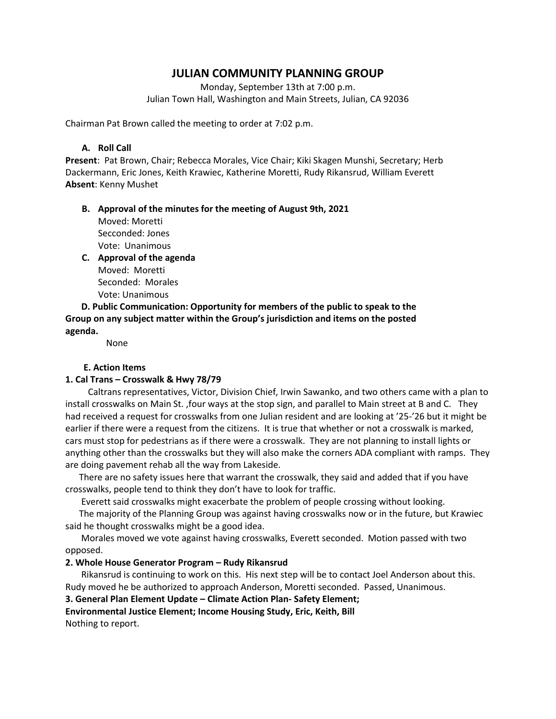# **JULIAN COMMUNITY PLANNING GROUP**

Monday, September 13th at 7:00 p.m. Julian Town Hall, Washington and Main Streets, Julian, CA 92036

Chairman Pat Brown called the meeting to order at 7:02 p.m.

#### **A. Roll Call**

**Present**: Pat Brown, Chair; Rebecca Morales, Vice Chair; Kiki Skagen Munshi, Secretary; Herb Dackermann, Eric Jones, Keith Krawiec, Katherine Moretti, Rudy Rikansrud, William Everett **Absent**: Kenny Mushet

# **B. Approval of the minutes for the meeting of August 9th, 2021**

Moved: Moretti Secconded: Jones Vote: Unanimous

**C. Approval of the agenda** Moved: Moretti Seconded: Morales Vote: Unanimous

 **D. Public Communication: Opportunity for members of the public to speak to the Group on any subject matter within the Group's jurisdiction and items on the posted agenda.**

None

#### **E. Action Items**

#### **1. Cal Trans – Crosswalk & Hwy 78/79**

Caltrans representatives, Victor, Division Chief, Irwin Sawanko, and two others came with a plan to install crosswalks on Main St. ,four ways at the stop sign, and parallel to Main street at B and C. They had received a request for crosswalks from one Julian resident and are looking at '25-'26 but it might be earlier if there were a request from the citizens. It is true that whether or not a crosswalk is marked, cars must stop for pedestrians as if there were a crosswalk. They are not planning to install lights or anything other than the crosswalks but they will also make the corners ADA compliant with ramps. They are doing pavement rehab all the way from Lakeside.

 There are no safety issues here that warrant the crosswalk, they said and added that if you have crosswalks, people tend to think they don't have to look for traffic.

Everett said crosswalks might exacerbate the problem of people crossing without looking.

 The majority of the Planning Group was against having crosswalks now or in the future, but Krawiec said he thought crosswalks might be a good idea.

 Morales moved we vote against having crosswalks, Everett seconded. Motion passed with two opposed.

#### **2. Whole House Generator Program – Rudy Rikansrud**

 Rikansrud is continuing to work on this. His next step will be to contact Joel Anderson about this. Rudy moved he be authorized to approach Anderson, Moretti seconded. Passed, Unanimous.

#### **3. General Plan Element Update – Climate Action Plan- Safety Element;**

**Environmental Justice Element; Income Housing Study, Eric, Keith, Bill**

Nothing to report.